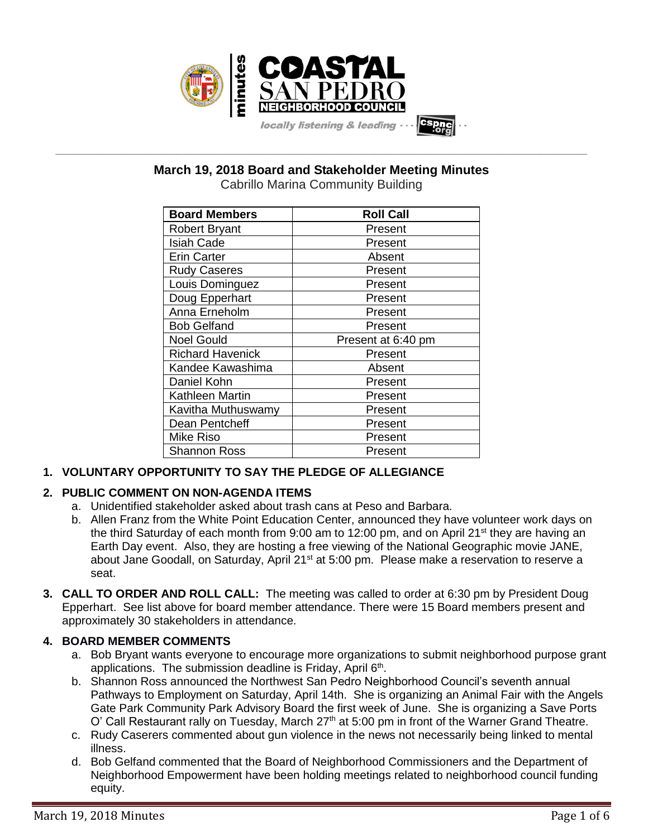

**\_\_\_\_\_\_\_\_\_\_\_\_\_\_\_\_\_\_\_\_\_\_\_\_\_\_\_\_\_\_\_\_\_\_\_\_\_\_\_\_\_\_\_\_\_\_\_\_\_\_\_\_\_\_\_\_\_\_\_\_\_\_\_\_\_\_\_\_\_\_\_\_\_\_\_\_\_\_\_\_\_\_\_\_\_\_\_\_\_\_\_\_\_\_\_\_\_\_\_\_\_\_\_\_\_\_\_\_\_\_\_\_\_ March 19, 2018 Board and Stakeholder Meeting Minutes**

Cabrillo Marina Community Building

| <b>Board Members</b>    | <b>Roll Call</b>   |
|-------------------------|--------------------|
| <b>Robert Bryant</b>    | Present            |
| <b>Isiah Cade</b>       | Present            |
| <b>Erin Carter</b>      | Absent             |
| <b>Rudy Caseres</b>     | Present            |
| Louis Dominguez         | Present            |
| Doug Epperhart          | Present            |
| Anna Erneholm           | Present            |
| <b>Bob Gelfand</b>      | Present            |
| <b>Noel Gould</b>       | Present at 6:40 pm |
| <b>Richard Havenick</b> | Present            |
| Kandee Kawashima        | Absent             |
| Daniel Kohn             | Present            |
| Kathleen Martin         | Present            |
| Kavitha Muthuswamy      | Present            |
| Dean Pentcheff          | Present            |
| Mike Riso               | Present            |
| <b>Shannon Ross</b>     | Present            |

# **1. VOLUNTARY OPPORTUNITY TO SAY THE PLEDGE OF ALLEGIANCE**

# **2. PUBLIC COMMENT ON NON-AGENDA ITEMS**

- a. Unidentified stakeholder asked about trash cans at Peso and Barbara.
- b. Allen Franz from the White Point Education Center, announced they have volunteer work days on the third Saturday of each month from 9:00 am to 12:00 pm, and on April 21<sup>st</sup> they are having an Earth Day event. Also, they are hosting a free viewing of the National Geographic movie JANE, about Jane Goodall, on Saturday, April 21<sup>st</sup> at 5:00 pm. Please make a reservation to reserve a seat.
- **3. CALL TO ORDER AND ROLL CALL:** The meeting was called to order at 6:30 pm by President Doug Epperhart. See list above for board member attendance. There were 15 Board members present and approximately 30 stakeholders in attendance.

# **4. BOARD MEMBER COMMENTS**

- a. Bob Bryant wants everyone to encourage more organizations to submit neighborhood purpose grant applications. The submission deadline is Friday, April  $6<sup>th</sup>$ .
- b. Shannon Ross announced the Northwest San Pedro Neighborhood Council's seventh annual Pathways to Employment on Saturday, April 14th. She is organizing an Animal Fair with the Angels Gate Park Community Park Advisory Board the first week of June. She is organizing a Save Ports O' Call Restaurant rally on Tuesday, March 27<sup>th</sup> at 5:00 pm in front of the Warner Grand Theatre.
- c. Rudy Caserers commented about gun violence in the news not necessarily being linked to mental illness.
- d. Bob Gelfand commented that the Board of Neighborhood Commissioners and the Department of Neighborhood Empowerment have been holding meetings related to neighborhood council funding equity.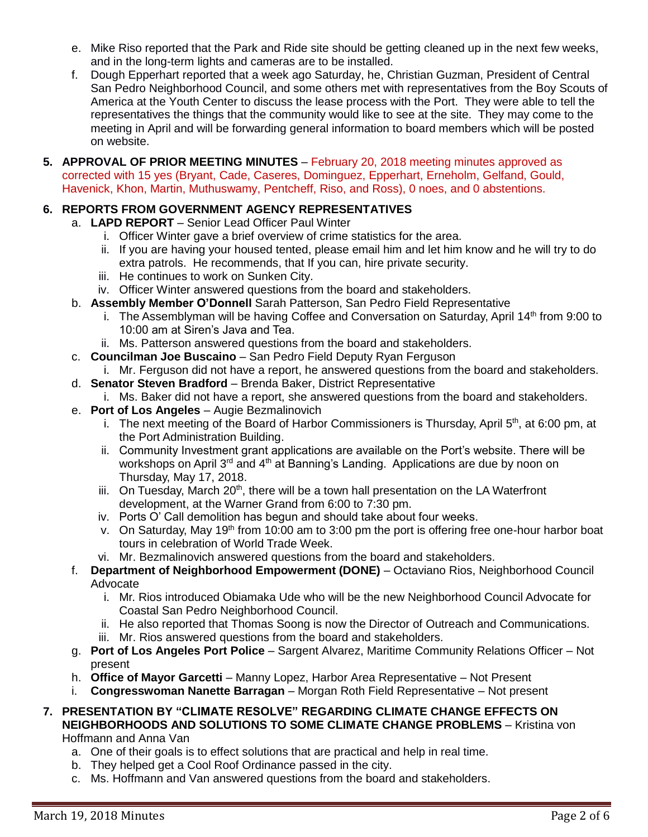- e. Mike Riso reported that the Park and Ride site should be getting cleaned up in the next few weeks, and in the long-term lights and cameras are to be installed.
- f. Dough Epperhart reported that a week ago Saturday, he, Christian Guzman, President of Central San Pedro Neighborhood Council, and some others met with representatives from the Boy Scouts of America at the Youth Center to discuss the lease process with the Port. They were able to tell the representatives the things that the community would like to see at the site. They may come to the meeting in April and will be forwarding general information to board members which will be posted on website.
- **5. APPROVAL OF PRIOR MEETING MINUTES** February 20, 2018 meeting minutes approved as corrected with 15 yes (Bryant, Cade, Caseres, Dominguez, Epperhart, Erneholm, Gelfand, Gould, Havenick, Khon, Martin, Muthuswamy, Pentcheff, Riso, and Ross), 0 noes, and 0 abstentions.

# **6. REPORTS FROM GOVERNMENT AGENCY REPRESENTATIVES**

- a. **LAPD REPORT** Senior Lead Officer Paul Winter
	- i. Officer Winter gave a brief overview of crime statistics for the area.
	- ii. If you are having your housed tented, please email him and let him know and he will try to do extra patrols. He recommends, that If you can, hire private security.
	- iii. He continues to work on Sunken City.
	- iv. Officer Winter answered questions from the board and stakeholders.
- b. **Assembly Member O'Donnell** Sarah Patterson, San Pedro Field Representative
	- i. The Assemblyman will be having Coffee and Conversation on Saturday, April 14<sup>th</sup> from 9:00 to 10:00 am at Siren's Java and Tea.
	- ii. Ms. Patterson answered questions from the board and stakeholders.
- c. **Councilman Joe Buscaino** San Pedro Field Deputy Ryan Ferguson
	- i. Mr. Ferguson did not have a report, he answered questions from the board and stakeholders.
- d. **Senator Steven Bradford** Brenda Baker, District Representative
- i. Ms. Baker did not have a report, she answered questions from the board and stakeholders.
- e. **Port of Los Angeles** Augie Bezmalinovich
	- i. The next meeting of the Board of Harbor Commissioners is Thursday, April  $5<sup>th</sup>$ , at 6:00 pm, at the Port Administration Building.
	- ii. Community Investment grant applications are available on the Port's website. There will be workshops on April 3<sup>rd</sup> and 4<sup>th</sup> at Banning's Landing. Applications are due by noon on Thursday, May 17, 2018.
	- iii. On Tuesday, March  $20<sup>th</sup>$ , there will be a town hall presentation on the LA Waterfront development, at the Warner Grand from 6:00 to 7:30 pm.
	- iv. Ports O' Call demolition has begun and should take about four weeks.
	- v. On Saturday, May 19<sup>th</sup> from 10:00 am to 3:00 pm the port is offering free one-hour harbor boat tours in celebration of World Trade Week.
	- vi. Mr. Bezmalinovich answered questions from the board and stakeholders.
- f. **Department of Neighborhood Empowerment (DONE)** Octaviano Rios, Neighborhood Council Advocate
	- i. Mr. Rios introduced Obiamaka Ude who will be the new Neighborhood Council Advocate for Coastal San Pedro Neighborhood Council.
	- ii. He also reported that Thomas Soong is now the Director of Outreach and Communications.
	- iii. Mr. Rios answered questions from the board and stakeholders.
- g. **Port of Los Angeles Port Police** Sargent Alvarez, Maritime Community Relations Officer Not present
- h. **Office of Mayor Garcetti** Manny Lopez, Harbor Area Representative Not Present
- i. **Congresswoman Nanette Barragan** Morgan Roth Field Representative Not present
- **7. PRESENTATION BY "CLIMATE RESOLVE" REGARDING CLIMATE CHANGE EFFECTS ON NEIGHBORHOODS AND SOLUTIONS TO SOME CLIMATE CHANGE PROBLEMS** – Kristina von

Hoffmann and Anna Van

- a. One of their goals is to effect solutions that are practical and help in real time.
- b. They helped get a Cool Roof Ordinance passed in the city.
- c. Ms. Hoffmann and Van answered questions from the board and stakeholders.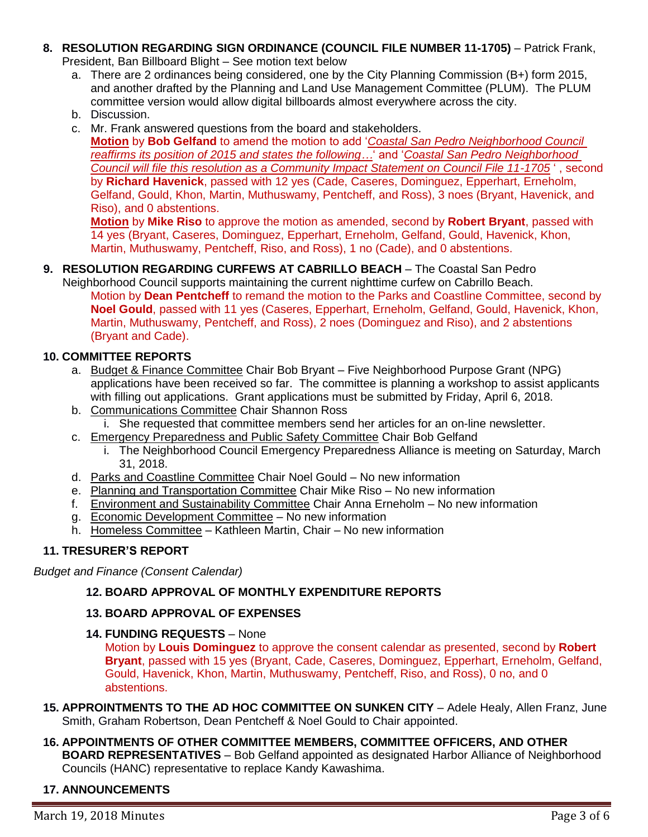- **8. RESOLUTION REGARDING SIGN ORDINANCE (COUNCIL FILE NUMBER 11-1705)** Patrick Frank, President, Ban Billboard Blight – See motion text below
	- a. There are 2 ordinances being considered, one by the City Planning Commission (B+) form 2015, and another drafted by the Planning and Land Use Management Committee (PLUM). The PLUM committee version would allow digital billboards almost everywhere across the city.
	- b. Discussion.
	- c. Mr. Frank answered questions from the board and stakeholders.

**Motion** by **Bob Gelfand** to amend the motion to add '*Coastal San Pedro Neighborhood Council reaffirms its position of 2015 and states the following…*' and '*Coastal San Pedro Neighborhood Council will file this resolution as a Community Impact Statement on Council File 11-1705* ' , second by **Richard Havenick**, passed with 12 yes (Cade, Caseres, Dominguez, Epperhart, Erneholm, Gelfand, Gould, Khon, Martin, Muthuswamy, Pentcheff, and Ross), 3 noes (Bryant, Havenick, and Riso), and 0 abstentions.

**Motion** by **Mike Riso** to approve the motion as amended, second by **Robert Bryant**, passed with 14 yes (Bryant, Caseres, Dominguez, Epperhart, Erneholm, Gelfand, Gould, Havenick, Khon, Martin, Muthuswamy, Pentcheff, Riso, and Ross), 1 no (Cade), and 0 abstentions.

#### **9. RESOLUTION REGARDING CURFEWS AT CABRILLO BEACH** – The Coastal San Pedro

Neighborhood Council supports maintaining the current nighttime curfew on Cabrillo Beach. Motion by **Dean Pentcheff** to remand the motion to the Parks and Coastline Committee, second by **Noel Gould**, passed with 11 yes (Caseres, Epperhart, Erneholm, Gelfand, Gould, Havenick, Khon, Martin, Muthuswamy, Pentcheff, and Ross), 2 noes (Dominguez and Riso), and 2 abstentions (Bryant and Cade).

#### **10. COMMITTEE REPORTS**

- a. Budget & Finance Committee Chair Bob Bryant Five Neighborhood Purpose Grant (NPG) applications have been received so far. The committee is planning a workshop to assist applicants with filling out applications. Grant applications must be submitted by Friday, April 6, 2018.
- b. Communications Committee Chair Shannon Ross i. She requested that committee members send her articles for an on-line newsletter.
- c. Emergency Preparedness and Public Safety Committee Chair Bob Gelfand
	- i. The Neighborhood Council Emergency Preparedness Alliance is meeting on Saturday, March 31, 2018.
- d. Parks and Coastline Committee Chair Noel Gould No new information
- e. Planning and Transportation Committee Chair Mike Riso No new information
- f. Environment and Sustainability Committee Chair Anna Erneholm No new information
- g. Economic Development Committee No new information
- h. Homeless Committee Kathleen Martin, Chair No new information

#### **11. TRESURER'S REPORT**

*Budget and Finance (Consent Calendar)*

### **12. BOARD APPROVAL OF MONTHLY EXPENDITURE REPORTS**

#### **13. BOARD APPROVAL OF EXPENSES**

**14. FUNDING REQUESTS** – None

Motion by **Louis Dominguez** to approve the consent calendar as presented, second by **Robert Bryant**, passed with 15 yes (Bryant, Cade, Caseres, Dominguez, Epperhart, Erneholm, Gelfand, Gould, Havenick, Khon, Martin, Muthuswamy, Pentcheff, Riso, and Ross), 0 no, and 0 abstentions.

- **15. APPROINTMENTS TO THE AD HOC COMMITTEE ON SUNKEN CITY** Adele Healy, Allen Franz, June Smith, Graham Robertson, Dean Pentcheff & Noel Gould to Chair appointed.
- **16. APPOINTMENTS OF OTHER COMMITTEE MEMBERS, COMMITTEE OFFICERS, AND OTHER BOARD REPRESENTATIVES** – Bob Gelfand appointed as designated Harbor Alliance of Neighborhood Councils (HANC) representative to replace Kandy Kawashima.

#### **17. ANNOUNCEMENTS**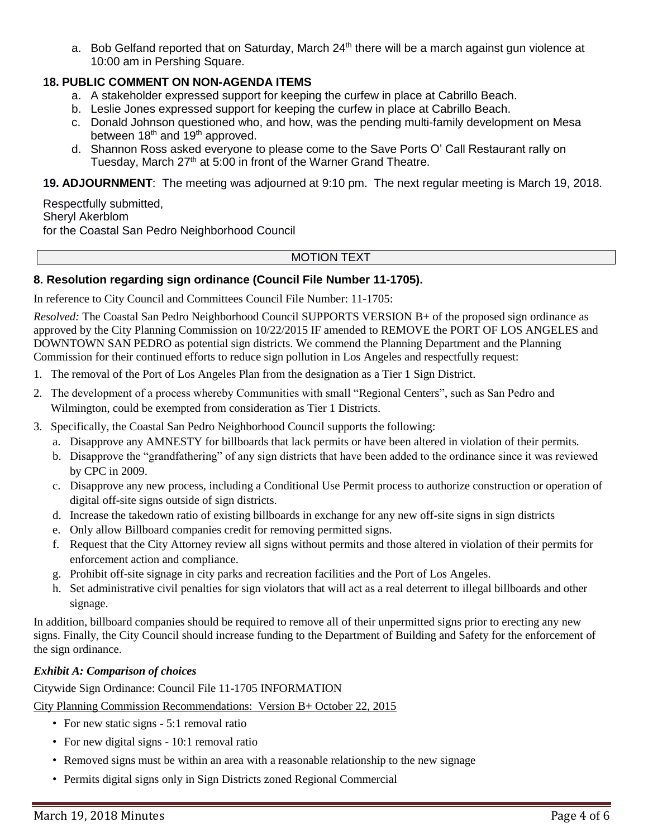a. Bob Gelfand reported that on Saturday, March 24<sup>th</sup> there will be a march against gun violence at 10:00 am in Pershing Square.

# **18. PUBLIC COMMENT ON NON-AGENDA ITEMS**

- a. A stakeholder expressed support for keeping the curfew in place at Cabrillo Beach.
- b. Leslie Jones expressed support for keeping the curfew in place at Cabrillo Beach.
- c. Donald Johnson questioned who, and how, was the pending multi-family development on Mesa between 18<sup>th</sup> and 19<sup>th</sup> approved.
- d. Shannon Ross asked everyone to please come to the Save Ports O' Call Restaurant rally on Tuesday, March 27<sup>th</sup> at 5:00 in front of the Warner Grand Theatre.

**19. ADJOURNMENT**:The meeting was adjourned at 9:10 pm. The next regular meeting is March 19, 2018.

Respectfully submitted, Sheryl Akerblom for the Coastal San Pedro Neighborhood Council

#### MOTION TEXT

#### **8. Resolution regarding sign ordinance (Council File Number 11-1705).**

In reference to City Council and Committees Council File Number: 11-1705:

*Resolved:* The Coastal San Pedro Neighborhood Council SUPPORTS VERSION B+ of the proposed sign ordinance as approved by the City Planning Commission on 10/22/2015 IF amended to REMOVE the PORT OF LOS ANGELES and DOWNTOWN SAN PEDRO as potential sign districts. We commend the Planning Department and the Planning Commission for their continued efforts to reduce sign pollution in Los Angeles and respectfully request:

- 1. The removal of the Port of Los Angeles Plan from the designation as a Tier 1 Sign District.
- 2. The development of a process whereby Communities with small "Regional Centers", such as San Pedro and Wilmington, could be exempted from consideration as Tier 1 Districts.
- 3. Specifically, the Coastal San Pedro Neighborhood Council supports the following:
	- a. Disapprove any AMNESTY for billboards that lack permits or have been altered in violation of their permits.
	- b. Disapprove the "grandfathering" of any sign districts that have been added to the ordinance since it was reviewed by CPC in 2009.
	- c. Disapprove any new process, including a Conditional Use Permit process to authorize construction or operation of digital off-site signs outside of sign districts.
	- d. Increase the takedown ratio of existing billboards in exchange for any new off-site signs in sign districts
	- e. Only allow Billboard companies credit for removing permitted signs.
	- f. Request that the City Attorney review all signs without permits and those altered in violation of their permits for enforcement action and compliance.
	- g. Prohibit off-site signage in city parks and recreation facilities and the Port of Los Angeles.
	- h. Set administrative civil penalties for sign violators that will act as a real deterrent to illegal billboards and other signage.

In addition, billboard companies should be required to remove all of their unpermitted signs prior to erecting any new signs. Finally, the City Council should increase funding to the Department of Building and Safety for the enforcement of the sign ordinance.

#### *Exhibit A: Comparison of choices*

Citywide Sign Ordinance: Council File 11-1705 INFORMATION City Planning Commission Recommendations: Version B+ October 22, 2015

- For new static signs 5:1 removal ratio
- For new digital signs 10:1 removal ratio
- Removed signs must be within an area with a reasonable relationship to the new signage
- Permits digital signs only in Sign Districts zoned Regional Commercial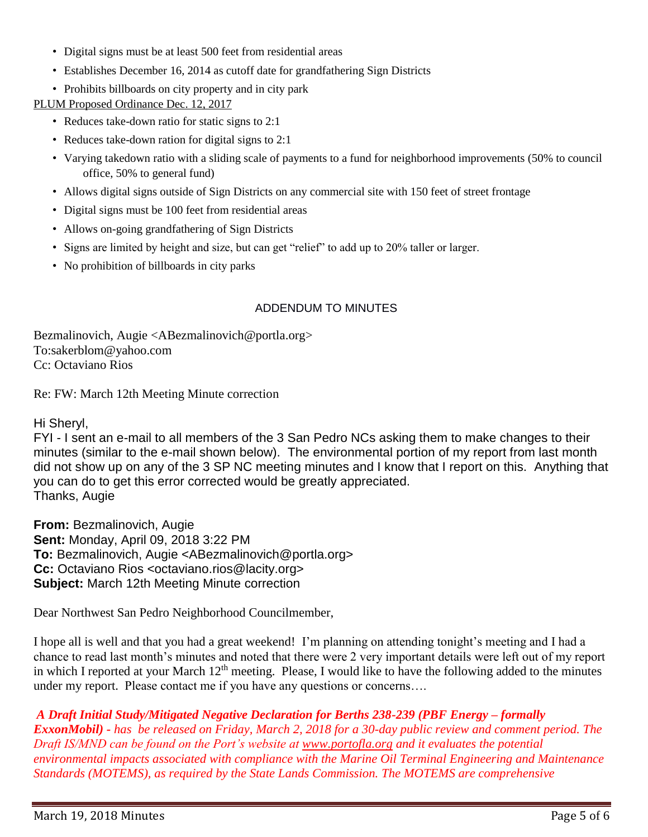- Digital signs must be at least 500 feet from residential areas
- Establishes December 16, 2014 as cutoff date for grandfathering Sign Districts
- Prohibits billboards on city property and in city park

PLUM Proposed Ordinance Dec. 12, 2017

- Reduces take-down ratio for static signs to 2:1
- Reduces take-down ration for digital signs to 2:1
- Varying takedown ratio with a sliding scale of payments to a fund for neighborhood improvements (50% to council office, 50% to general fund)
- Allows digital signs outside of Sign Districts on any commercial site with 150 feet of street frontage
- Digital signs must be 100 feet from residential areas
- Allows on-going grandfathering of Sign Districts
- Signs are limited by height and size, but can get "relief" to add up to 20% taller or larger.
- No prohibition of billboards in city parks

# ADDENDUM TO MINUTES

Bezmalinovich, Augie <ABezmalinovich@portla.org> To:sakerblom@yahoo.com Cc: Octaviano Rios

Re: FW: March 12th Meeting Minute correction

Hi Sheryl,

FYI - I sent an e-mail to all members of the 3 San Pedro NCs asking them to make changes to their minutes (similar to the e-mail shown below). The environmental portion of my report from last month did not show up on any of the 3 SP NC meeting minutes and I know that I report on this. Anything that you can do to get this error corrected would be greatly appreciated. Thanks, Augie

**From:** Bezmalinovich, Augie **Sent:** Monday, April 09, 2018 3:22 PM **To:** Bezmalinovich, Augie <ABezmalinovich@portla.org> **Cc:** Octaviano Rios <octaviano.rios@lacity.org> **Subject:** March 12th Meeting Minute correction

Dear Northwest San Pedro Neighborhood Councilmember,

I hope all is well and that you had a great weekend! I'm planning on attending tonight's meeting and I had a chance to read last month's minutes and noted that there were 2 very important details were left out of my report in which I reported at your March  $12<sup>th</sup>$  meeting. Please, I would like to have the following added to the minutes under my report. Please contact me if you have any questions or concerns….

# *A Draft Initial Study/Mitigated Negative Declaration for Berths 238-239 (PBF Energy – formally*

*ExxonMobil) - has be released on Friday, March 2, 2018 for a 30-day public review and comment period. The Draft IS/MND can be found on the Port's website at [www.portofla.org](http://www.portofla.org/) and it evaluates the potential environmental impacts associated with compliance with the Marine Oil Terminal Engineering and Maintenance Standards (MOTEMS), as required by the State Lands Commission. The MOTEMS are comprehensive*